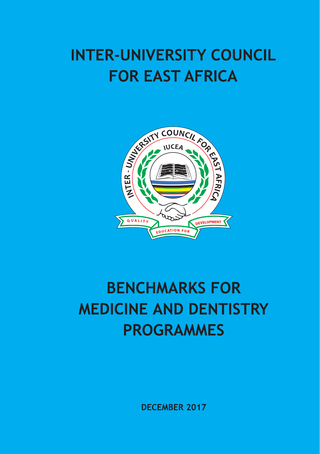# **INTER-UNIVERSITY COUNCIL FOR EAST AFRICA**



# **BENCHMARKS FOR MEDICINE AND DENTISTRY PROGRAMMES**

**DECEMBER 2017**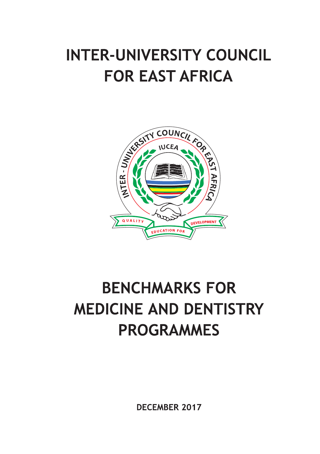# **INTER-UNIVERSITY COUNCIL FOR EAST AFRICA**



# **BENCHMARKS FOR MEDICINE AND DENTISTRY PROGRAMMES**

**DECEMBER 2017**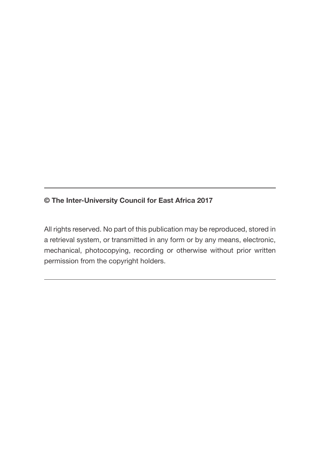#### **© The Inter-University Council for East Africa 2017**

All rights reserved. No part of this publication may be reproduced, stored in a retrieval system, or transmitted in any form or by any means, electronic, mechanical, photocopying, recording or otherwise without prior written permission from the copyright holders.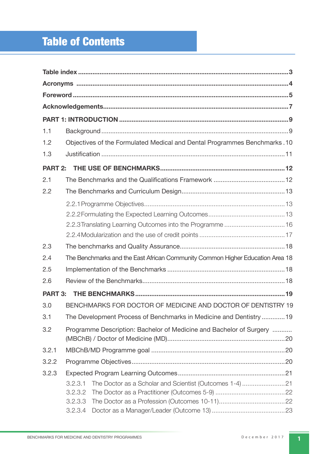# Table of Contents

| 1.1            |                                                                               |  |
|----------------|-------------------------------------------------------------------------------|--|
| 1.2            | Objectives of the Formulated Medical and Dental Programmes Benchmarks.10      |  |
| 1.3            |                                                                               |  |
| PART 2:        |                                                                               |  |
| 2.1            |                                                                               |  |
| 2.2            |                                                                               |  |
|                |                                                                               |  |
|                |                                                                               |  |
|                |                                                                               |  |
|                |                                                                               |  |
| 2.3            |                                                                               |  |
| 2.4            | The Benchmarks and the East African Community Common Higher Education Area 18 |  |
| 2.5            |                                                                               |  |
| 2.6            |                                                                               |  |
| <b>PART 3:</b> |                                                                               |  |
| 3.0            | BENCHMARKS FOR DOCTOR OF MEDICINE AND DOCTOR OF DENTISTRY 19                  |  |
| 3.1            | The Development Process of Benchmarks in Medicine and Dentistry 19            |  |
| 3.2            | Programme Description: Bachelor of Medicine and Bachelor of Surgery           |  |
| 3.2.1          |                                                                               |  |
| 3.2.2          |                                                                               |  |
| 3.2.3          |                                                                               |  |
|                | 3.2.3.1<br>The Doctor as a Scholar and Scientist (Outcomes 1-4)21             |  |
|                | 3.2.3.2                                                                       |  |
|                | 3.2.3.3                                                                       |  |
|                | 3.2.3.4                                                                       |  |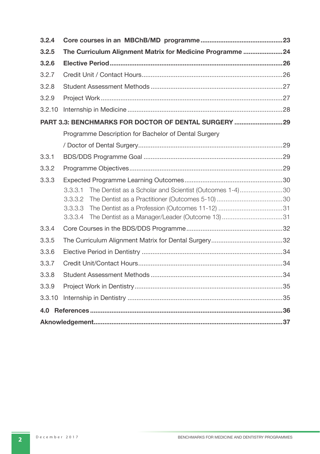| 3.2.4  |                                                                    |  |  |  |  |  |  |  |  |  |
|--------|--------------------------------------------------------------------|--|--|--|--|--|--|--|--|--|
| 3.2.5  | The Curriculum Alignment Matrix for Medicine Programme24           |  |  |  |  |  |  |  |  |  |
| 3.2.6  |                                                                    |  |  |  |  |  |  |  |  |  |
| 3.2.7  |                                                                    |  |  |  |  |  |  |  |  |  |
| 3.2.8  |                                                                    |  |  |  |  |  |  |  |  |  |
| 3.2.9  |                                                                    |  |  |  |  |  |  |  |  |  |
| 3.2.10 |                                                                    |  |  |  |  |  |  |  |  |  |
|        | PART 3.3: BENCHMARKS FOR DOCTOR OF DENTAL SURGERY  29              |  |  |  |  |  |  |  |  |  |
|        | Programme Description for Bachelor of Dental Surgery               |  |  |  |  |  |  |  |  |  |
|        |                                                                    |  |  |  |  |  |  |  |  |  |
| 3.3.1  |                                                                    |  |  |  |  |  |  |  |  |  |
| 3.3.2  |                                                                    |  |  |  |  |  |  |  |  |  |
| 3.3.3  |                                                                    |  |  |  |  |  |  |  |  |  |
|        | The Dentist as a Scholar and Scientist (Outcomes 1-4)30<br>3.3.3.1 |  |  |  |  |  |  |  |  |  |
|        | 3.3.3.2                                                            |  |  |  |  |  |  |  |  |  |
|        | 3.3.3.3                                                            |  |  |  |  |  |  |  |  |  |
|        | 3.3.3.4                                                            |  |  |  |  |  |  |  |  |  |
| 3.3.4  |                                                                    |  |  |  |  |  |  |  |  |  |
| 3.3.5  |                                                                    |  |  |  |  |  |  |  |  |  |
| 3.3.6  |                                                                    |  |  |  |  |  |  |  |  |  |
| 3.3.7  |                                                                    |  |  |  |  |  |  |  |  |  |
| 3.3.8  |                                                                    |  |  |  |  |  |  |  |  |  |
| 3.3.9  |                                                                    |  |  |  |  |  |  |  |  |  |
| 3.3.10 |                                                                    |  |  |  |  |  |  |  |  |  |
| 4.0    |                                                                    |  |  |  |  |  |  |  |  |  |
|        |                                                                    |  |  |  |  |  |  |  |  |  |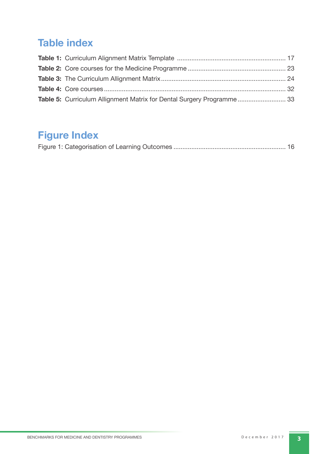# **Table index**

| Table 5: Curriculum Allignment Matrix for Dental Surgery Programme 33 |  |
|-----------------------------------------------------------------------|--|

# **Figure Index**

|--|--|--|--|--|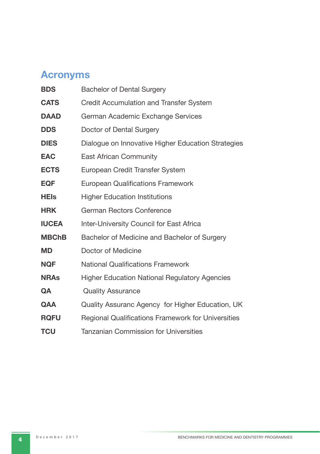# **Ac ronyms**

| <b>Bachelor of Dental Surgery</b>                         |
|-----------------------------------------------------------|
| <b>Credit Accumulation and Transfer System</b>            |
| German Academic Exchange Services                         |
| Doctor of Dental Surgery                                  |
| Dialogue on Innovative Higher Education Strategies        |
| <b>East African Community</b>                             |
| European Credit Transfer System                           |
| <b>European Qualifications Framework</b>                  |
| <b>Higher Education Institutions</b>                      |
| German Rectors Conference                                 |
| <b>Inter-University Council for East Africa</b>           |
| Bachelor of Medicine and Bachelor of Surgery              |
| Doctor of Medicine                                        |
| <b>National Qualifications Framework</b>                  |
| <b>Higher Education National Regulatory Agencies</b>      |
| <b>Quality Assurance</b>                                  |
| Quality Assuranc Agency for Higher Education, UK          |
| <b>Regional Qualifications Framework for Universities</b> |
| <b>Tanzanian Commission for Universities</b>              |
|                                                           |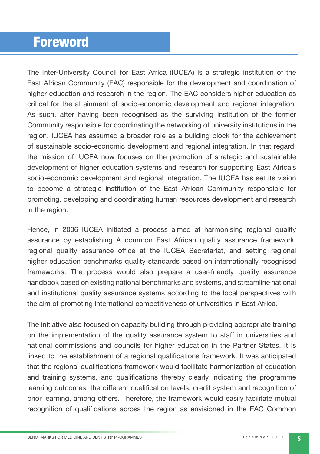# **Foreword**

The Inter-University Council for East Africa (IUCEA) is a strategic institution of the East African Community (EAC) responsible for the development and coordination of higher education and research in the region. The EAC considers higher education as critical for the attainment of socio-economic development and regional integration. As such, after having been recognised as the surviving institution of the former Community responsible for coordinating the networking of university institutions in the region, IUCEA has assumed a broader role as a building block for the achievement of sustainable socio-economic development and regional integration. In that regard, the mission of IUCEA now focuses on the promotion of strategic and sustainable development of higher education systems and research for supporting East Africa's socio-economic development and regional integration. The IUCEA has set its vision to become a strategic institution of the East African Community responsible for promoting, developing and coordinating human resources development and research in the region.

Hence, in 2006 IUCEA initiated a process aimed at harmonising regional quality assurance by establishing A common East African quality assurance framework, regional quality assurance office at the IUCEA Secretariat, and setting regional higher education benchmarks quality standards based on internationally recognised frameworks. The process would also prepare a user-friendly quality assurance handbook based on existing national benchmarks and systems, and streamline national and institutional quality assurance systems according to the local perspectives with the aim of promoting international competitiveness of universities in East Africa.

The initiative also focused on capacity building through providing appropriate training on the implementation of the quality assurance system to staff in universities and national commissions and councils for higher education in the Partner States. It is linked to the establishment of a regional qualifications framework. It was anticipated that the regional qualifications framework would facilitate harmonization of education and training systems, and qualifications thereby clearly indicating the programme learning outcomes, the different qualification levels, credit system and recognition of prior learning, among others. Therefore, the framework would easily facilitate mutual recognition of qualifications across the region as envisioned in the EAC Common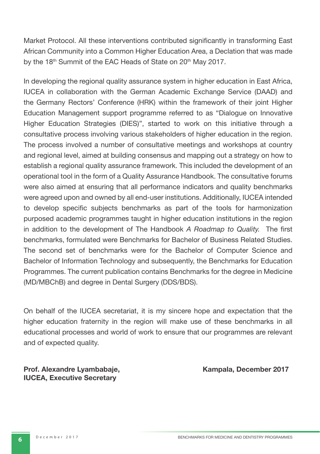Market Protocol. All these interventions contributed significantly in transforming East African Community into a Common Higher Education Area, a Declation that was made by the 18<sup>th</sup> Summit of the EAC Heads of State on 20<sup>th</sup> May 2017.

In developing the regional quality assurance system in higher education in East Africa, IUCEA in collaboration with the German Academic Exchange Service (DAAD) and the Germany Rectors' Conference (HRK) within the framework of their joint Higher Education Management support programme referred to as "Dialogue on Innovative Higher Education Strategies (DIES)", started to work on this initiative through a consultative process involving various stakeholders of higher education in the region. The process involved a number of consultative meetings and workshops at country and regional level, aimed at building consensus and mapping out a strategy on how to establish a regional quality assurance framework. This included the development of an operational tool in the form of a Quality Assurance Handbook. The consultative forums were also aimed at ensuring that all performance indicators and quality benchmarks were agreed upon and owned by all end-user institutions. Additionally, IUCEA intended to develop specific subjects benchmarks as part of the tools for harmonization purposed academic programmes taught in higher education institutions in the region in addition to the development of The Handbook *A Roadmap to Quality*. The first benchmarks, formulated were Benchmarks for Bachelor of Business Related Studies. The second set of benchmarks were for the Bachelor of Computer Science and Bachelor of Information Technology and subsequently, the Benchmarks for Education Programmes. The current publication contains Benchmarks for the degree in Medicine (MD/MBChB) and degree in Dental Surgery (DDS/BDS).

On behalf of the IUCEA secretariat, it is my sincere hope and expectation that the higher education fraternity in the region will make use of these benchmarks in all educational processes and world of work to ensure that our programmes are relevant and of expected quality.

Prof. Alexandre Lyambabaje, **Kampala, December 2017 IUCEA, Executive Secretary**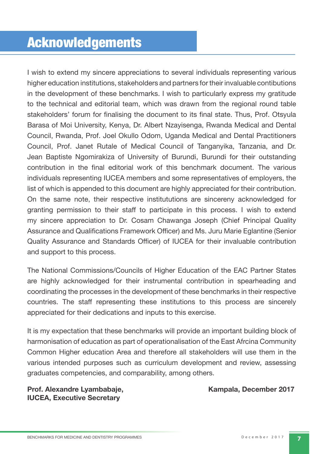# Acknowledgements

I wish to extend my sincere appreciations to several individuals representing various higher education institutions, stakeholders and partners for their invaluable contibutions in the development of these benchmarks. I wish to particularly express my gratitude to the technical and editorial team, which was drawn from the regional round table stakeholders' forum for finalising the document to its final state. Thus, Prof. Otsyula Barasa of Moi University, Kenya, Dr. Albert Nzayisenga, Rwanda Medical and Dental Council, Rwanda, Prof. Joel Okullo Odom, Uganda Medical and Dental Practitioners Council, Prof. Janet Rutale of Medical Council of Tanganyika, Tanzania, and Dr. Jean Baptiste Ngomirakiza of University of Burundi, Burundi for their outstanding contribution in the final editorial work of this benchmark document. The various individuals representing IUCEA members and some representatives of employers, the list of which is appended to this document are highly appreciated for their contribution. On the same note, their respective institututions are sincereny acknowledged for granting permission to their staff to participate in this process. I wish to extend my sincere appreciation to Dr. Cosam Chawanga Joseph (Chief Principal Quality Assurance and Qualifications Framework Officer) and Ms. Juru Marie Eglantine (Senior Quality Assurance and Standards Officer) of IUCEA for their invaluable contribution and support to this process.

The National Commissions/Councils of Higher Education of the EAC Partner States are highly acknowledged for their instrumental contribution in spearheading and coordinating the processes in the development of these benchmarks in their respective countries. The staff representing these institutions to this process are sincerely appreciated for their dedications and inputs to this exercise.

It is my expectation that these benchmarks will provide an important building block of harmonisation of education as part of operationalisation of the East Afrcina Community Common Higher education Area and therefore all stakeholders will use them in the various intended purposes such as curriculum development and review, assessing graduates competencies, and comparability, among others.

**Prof. Alexandre Lyambabaje, New York Comparent Comparent Report Comparent Comparent Comparent Comparent Comparent Comparent Comparent Comparent Comparent Comparent Comparent Comparent Comparent Comparent Comparent Compare IUCEA, Executive Secretary**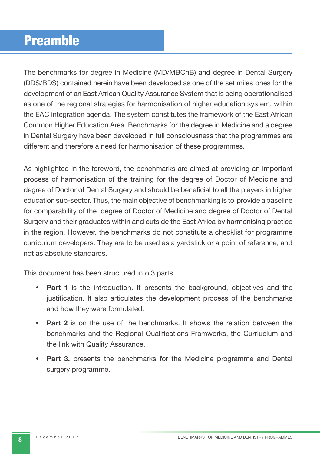# Preamble

The benchmarks for degree in Medicine (MD/MBChB) and degree in Dental Surgery (DDS/BDS) contained herein have been developed as one of the set milestones for the development of an East African Quality Assurance System that is being operationalised as one of the regional strategies for harmonisation of higher education system, within the EAC integration agenda. The system constitutes the framework of the East African Common Higher Education Area. Benchmarks for the degree in Medicine and a degree in Dental Surgery have been developed in full consciousness that the programmes are different and therefore a need for harmonisation of these programmes.

As highlighted in the foreword, the benchmarks are aimed at providing an important process of harmonisation of the training for the degree of Doctor of Medicine and degree of Doctor of Dental Surgery and should be beneficial to all the players in higher education sub-sector. Thus, the main objective of benchmarking is to provide a baseline for comparability of the degree of Doctor of Medicine and degree of Doctor of Dental Surgery and their graduates within and outside the East Africa by harmonising practice in the region. However, the benchmarks do not constitute a checklist for programme curriculum developers. They are to be used as a yardstick or a point of reference, and not as absolute standards.

This document has been structured into 3 parts.

- **Part 1** is the introduction. It presents the background, objectives and the justification. It also articulates the development process of the benchmarks and how they were formulated.
- **Part 2** is on the use of the benchmarks. It shows the relation between the benchmarks and the Regional Qualifications Framworks, the Curriuclum and the link with Quality Assurance.
- **Part 3.** presents the benchmarks for the Medicine programme and Dental surgery programme.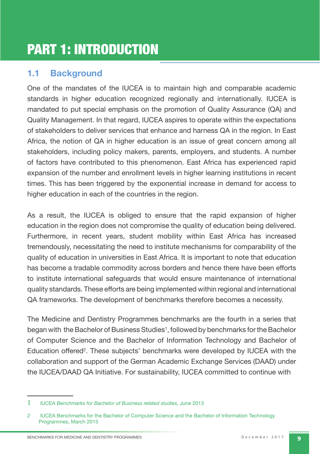# PART 1: INTRODUCTION

## **1.1 Background**

One of the mandates of the IUCEA is to maintain high and comparable academic standards in higher education recognized regionally and internationally. IUCEA is mandated to put special emphasis on the promotion of Quality Assurance (QA) and Quality Management. In that regard, IUCEA aspires to operate within the expectations of stakeholders to deliver services that enhance and harness QA in the region. In East Africa, the notion of QA in higher education is an issue of great concern among all stakeholders, including policy makers, parents, employers, and students. A number of factors have contributed to this phenomenon. East Africa has experienced rapid expansion of the number and enrollment levels in higher learning institutions in recent times. This has been triggered by the exponential increase in demand for access to higher education in each of the countries in the region.

As a result, the IUCEA is obliged to ensure that the rapid expansion of higher education in the region does not compromise the quality of education being delivered. Furthermore, in recent years, student mobility within East Africa has increased tremendously, necessitating the need to institute mechanisms for comparability of the quality of education in universities in East Africa. It is important to note that education has become a tradable commodity across borders and hence there have been efforts to institute international safeguards that would ensure maintenance of international quality standards. These efforts are being implemented within regional and international QA frameworks. The development of benchmarks therefore becomes a necessity.

The Medicine and Dentistry Programmes benchmarks are the fourth in a series that began with the Bachelor of Business Studies<sup>1</sup>, followed by benchmarks for the Bachelor of Computer Science and the Bachelor of Information Technology and Bachelor of Education offered<sup>2</sup>. These subjects' benchmarks were developed by IUCEA with the collaboration and support of the German Academic Exchange Services (DAAD) under the IUCEA/DAAD QA Initiative. For sustainability, IUCEA committed to continue with

<sup>1</sup> IUCEA *Benchmarks for Bachelor of Business related studies,* June 2013

<sup>2</sup> IUCEA Benchmarks for the Bachelor of Computer Science and the Bachelor of Information Technology Programmes, March 2015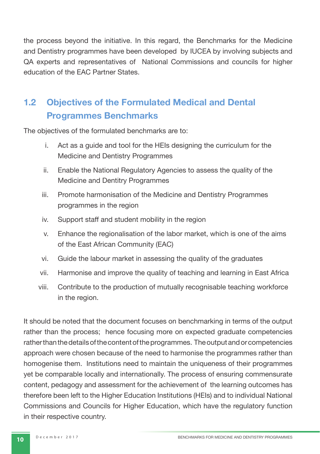the process beyond the initiative. In this regard, the Benchmarks for the Medicine and Dentistry programmes have been developed by IUCEA by involving subjects and QA experts and representatives of National Commissions and councils for higher education of the EAC Partner States.

# **1.2 Objectives of the Formulated Medical and Dental Programmes Benchmarks**

The objectives of the formulated benchmarks are to:

- i. Act as a guide and tool for the HEIs designing the curriculum for the Medicine and Dentistry Programmes
- ii. Enable the National Regulatory Agencies to assess the quality of the Medicine and Dentitry Programmes
- iii. Promote harmonisation of the Medicine and Dentistry Programmes programmes in the region
- iv. Support staff and student mobility in the region
- v. Enhance the regionalisation of the labor market, which is one of the aims of the East African Community (EAC)
- vi. Guide the labour market in assessing the quality of the graduates
- vii. Harmonise and improve the quality of teaching and learning in East Africa
- viii. Contribute to the production of mutually recognisable teaching workforce in the region.

It should be noted that the document focuses on benchmarking in terms of the output rather than the process; hence focusing more on expected graduate competencies rather than the details of the content of the programmes. The output and or competencies approach were chosen because of the need to harmonise the programmes rather than homogenise them. Institutions need to maintain the uniqueness of their programmes yet be comparable locally and internationally. The process of ensuring commensurate content, pedagogy and assessment for the achievement of the learning outcomes has therefore been left to the Higher Education Institutions (HEIs) and to individual National Commissions and Councils for Higher Education, which have the regulatory function in their respective country.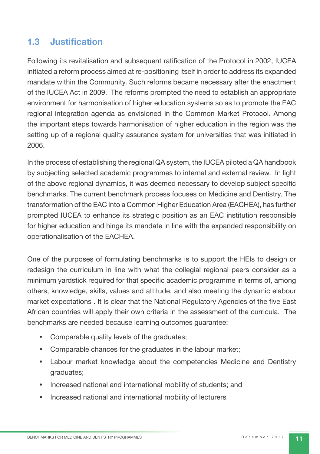## **1.3 Justifi cation**

Following its revitalisation and subsequent ratification of the Protocol in 2002, IUCEA initiated a reform process aimed at re-positioning itself in order to address its expanded mandate within the Community. Such reforms became necessary after the enactment of the IUCEA Act in 2009. The reforms prompted the need to establish an appropriate environment for harmonisation of higher education systems so as to promote the EAC regional integration agenda as envisioned in the Common Market Protocol. Among the important steps towards harmonisation of higher education in the region was the setting up of a regional quality assurance system for universities that was initiated in 2006.

In the process of establishing the regional QA system, the IUCEA piloted a QA handbook by subjecting selected academic programmes to internal and external review. In light of the above regional dynamics, it was deemed necessary to develop subject specific benchmarks. The current benchmark process focuses on Medicine and Dentistry. The transformation of the EAC into a Common Higher Education Area (EACHEA), has further prompted IUCEA to enhance its strategic position as an EAC institution responsible for higher education and hinge its mandate in line with the expanded responsibility on operationalisation of the EACHEA.

One of the purposes of formulating benchmarks is to support the HEIs to design or redesign the curriculum in line with what the collegial regional peers consider as a minimum yardstick required for that specific academic programme in terms of, among others, knowledge, skills, values and attitude, and also meeting the dynamic elabour market expectations . It is clear that the National Regulatory Agencies of the five East African countries will apply their own criteria in the assessment of the curricula. The benchmarks are needed because learning outcomes guarantee:

- Comparable quality levels of the graduates;
- Comparable chances for the graduates in the labour market;
- Labour market knowledge about the competencies Medicine and Dentistry graduates;
- Increased national and international mobility of students; and
- Increased national and international mobility of lecturers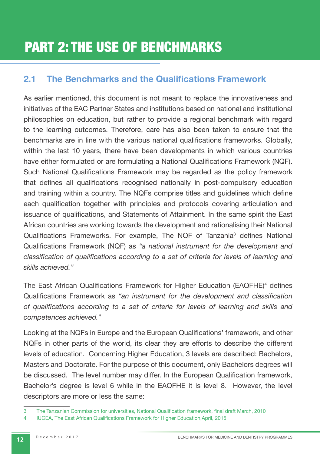# PART 2: THE USE OF BENCHMARKS

## **2.1 The Benchmarks and the Qualifications Framework**

As earlier mentioned, this document is not meant to replace the innovativeness and initiatives of the EAC Partner States and institutions based on national and institutional philosophies on education, but rather to provide a regional benchmark with regard to the learning outcomes. Therefore, care has also been taken to ensure that the benchmarks are in line with the various national qualifications frameworks. Globally, within the last 10 years, there have been developments in which various countries have either formulated or are formulating a National Qualifications Framework (NQF). Such National Qualifications Framework may be regarded as the policy framework that defines all qualifications recognised nationally in post-compulsory education and training within a country. The NQFs comprise titles and quidelines which define each qualification together with principles and protocols covering articulation and issuance of qualifications, and Statements of Attainment. In the same spirit the East African countries are working towards the development and rationalising their National Qualifications Frameworks. For example, The NQF of Tanzania<sup>3</sup> defines National Qualifications Framework (NQF) as "a national instrument for the development and *classification of qualifications according to a set of criteria for levels of learning and skills achieved."* 

The East African Qualifications Framework for Higher Education (EAQFHE)<sup>4</sup> defines Qualifications Framework as "an instrument for the development and classification *of qualifi cations according to a set of criteria for levels of learning and skills and competences achieved.*"

Looking at the NQFs in Europe and the European Qualifications' framework, and other NQFs in other parts of the world, its clear they are efforts to describe the different levels of education. Concerning Higher Education, 3 levels are described: Bachelors, Masters and Doctorate. For the purpose of this document, only Bachelors degrees will be discussed. The level number may differ. In the European Qualification framework, Bachelor's degree is level 6 while in the EAQFHE it is level 8. However, the level descriptors are more or less the same:

<sup>3</sup> The Tanzanian Commission for universities, National Qualification framework, final draft March, 2010

<sup>4</sup> IUCEA, The East African Qualifications Framework for Higher Education, April, 2015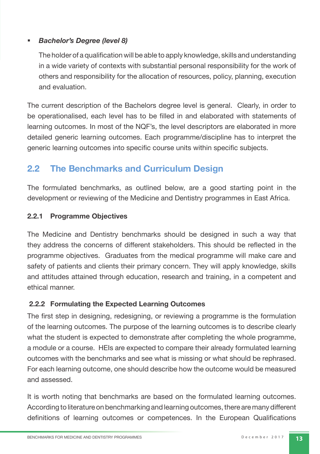#### § *Bachelor's Degree (level 8)*

The holder of a qualification will be able to apply knowledge, skills and understanding in a wide variety of contexts with substantial personal responsibility for the work of others and responsibility for the allocation of resources, policy, planning, execution and evaluation.

 The current description of the Bachelors degree level is general. Clearly, in order to be operationalised, each level has to be filled in and elaborated with statements of learning outcomes. In most of the NQF's, the level descriptors are elaborated in more detailed generic learning outcomes. Each programme/discipline has to interpret the generic learning outcomes into specific course units within specific subjects.

## **2.2 The Benchmarks and Curriculum Design**

The formulated benchmarks, as outlined below, are a good starting point in the development or reviewing of the Medicine and Dentistry programmes in East Africa.

#### **2.2.1 Programme Objectives**

The Medicine and Dentistry benchmarks should be designed in such a way that they address the concerns of different stakeholders. This should be reflected in the programme objectives. Graduates from the medical programme will make care and safety of patients and clients their primary concern. They will apply knowledge, skills and attitudes attained through education, research and training, in a competent and ethical manner.

#### **2.2.2 Formulating the Expected Learning Outcomes**

The first step in designing, redesigning, or reviewing a programme is the formulation of the learning outcomes. The purpose of the learning outcomes is to describe clearly what the student is expected to demonstrate after completing the whole programme, a module or a course. HEIs are expected to compare their already formulated learning outcomes with the benchmarks and see what is missing or what should be rephrased. For each learning outcome, one should describe how the outcome would be measured and assessed.

It is worth noting that benchmarks are based on the formulated learning outcomes. According to literature on benchmarking and learning outcomes, there are many different definitions of learning outcomes or competences. In the European Qualifications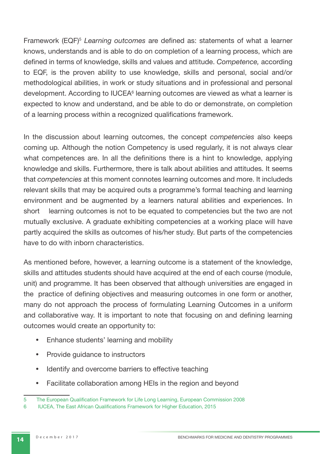Framework (EQF)<sup>5</sup> Learning outcomes are defined as: statements of what a learner knows, understands and is able to do on completion of a learning process, which are defined in terms of knowledge, skills and values and attitude. *Competence*, according to EQF, is the proven ability to use knowledge, skills and personal, social and/or methodological abilities, in work or study situations and in professional and personal development. According to IUCEA<sup>6</sup> learning outcomes are viewed as what a learner is expected to know and understand, and be able to do or demonstrate, on completion of a learning process within a recognized qualifications framework.

In the discussion about learning outcomes, the concept *competencies* also keeps coming up*.* Although the notion Competency is used regularly, it is not always clear what competences are. In all the definitions there is a hint to knowledge, applying knowledge and skills. Furthermore, there is talk about abilities and attitudes. It seems that *competencies* at this moment connotes learning outcomes and more. It includeds relevant skills that may be acquired outs a programme's formal teaching and learning environment and be augmented by a learners natural abilities and experiences. In short learning outcomes is not to be equated to competencies but the two are not mutually exclusive. A graduate exhibiting competencies at a working place will have partly acquired the skills as outcomes of his/her study. But parts of the competencies have to do with inborn characteristics.

 As mentioned before, however, a learning outcome is a statement of the knowledge, skills and attitudes students should have acquired at the end of each course (module, unit) and programme. It has been observed that although universities are engaged in the practice of defining objectives and measuring outcomes in one form or another, many do not approach the process of formulating Learning Outcomes in a uniform and collaborative way. It is important to note that focusing on and defining learning outcomes would create an opportunity to:

- Enhance students' learning and mobility
- Provide guidance to instructors
- Identify and overcome barriers to effective teaching
- Facilitate collaboration among HEIs in the region and beyond

<sup>5</sup> The European Qualification Framework for Life Long Learning, European Commission 2008

<sup>6</sup> IUCEA, The East African Qualifications Framework for Higher Education, 2015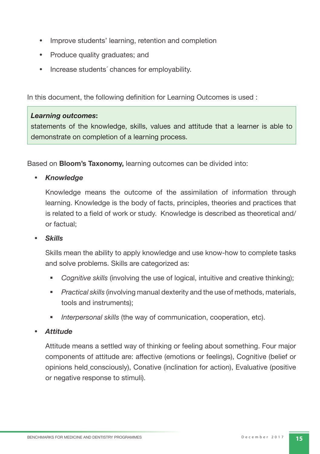- Improve students' learning, retention and completion
- Produce quality graduates; and
- Increase students´ chances for employability.

In this document, the following definition for Learning Outcomes is used :

#### *Learning outcomes***:**

statements of the knowledge, skills, values and attitude that a learner is able to demonstrate on completion of a learning process.

Based on **Bloom's Taxonomy,** learning outcomes can be divided into:

• *Knowledge*

Knowledge means the outcome of the assimilation of information through learning. Knowledge is the body of facts, principles, theories and practices that is related to a field of work or study. Knowledge is described as theoretical and/ or factual;

#### • *Skills*

Skills mean the ability to apply knowledge and use know-how to complete tasks and solve problems. Skills are categorized as:

- § *Cognitive skills* (involving the use of logical, intuitive and creative thinking);
- **•** *Practical skills* (involving manual dexterity and the use of methods, materials, tools and instruments);
- § *Interpersonal skills* (the way of communication, cooperation, etc).

#### • *Attitude*

Attitude means a settled way of thinking or feeling about something. Four major components of attitude are: affective (emotions or feelings), Cognitive (belief or opinions held consciously), Conative (inclination for action), Evaluative (positive or negative response to stimuli).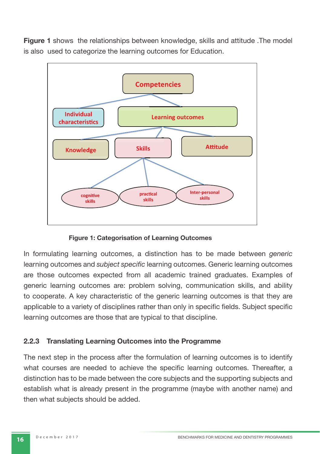**Figure 1** shows the relationships between knowledge, skills and attitude .The model is also used to categorize the learning outcomes for Education.



**Figure 1: Categorisation of Learning Outcomes**

In formulating learning outcomes, a distinction has to be made between *generic*  learning outcomes and *subject specific* learning outcomes. Generic learning outcomes are those outcomes expected from all academic trained graduates. Examples of generic learning outcomes are: problem solving, communication skills, and ability to cooperate. A key characteristic of the generic learning outcomes is that they are applicable to a variety of disciplines rather than only in specific fields. Subject specific learning outcomes are those that are typical to that discipline.

#### **2.2.3 Translating Learning Outcomes into the Programme**

The next step in the process after the formulation of learning outcomes is to identify what courses are needed to achieve the specific learning outcomes. Thereafter, a distinction has to be made between the core subjects and the supporting subjects and establish what is already present in the programme (maybe with another name) and then what subjects should be added.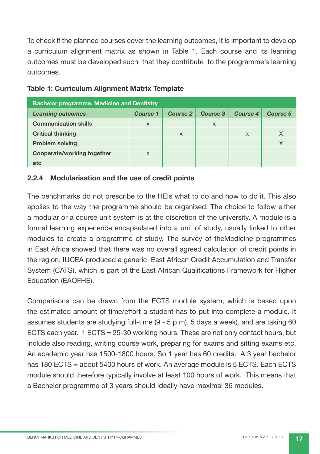To check if the planned courses cover the learning outcomes, it is important to develop a curriculum alignment matrix as shown in Table 1. Each course and its learning outcomes must be developed such that they contribute to the programme's learning outcomes.

| <b>Bachelor programme, Medicine and Dentistry</b> |                 |                 |          |          |          |  |  |  |  |  |  |  |  |
|---------------------------------------------------|-----------------|-----------------|----------|----------|----------|--|--|--|--|--|--|--|--|
| <b>Learning outcomes</b>                          | <b>Course 1</b> | <b>Course 2</b> | Course 3 | Course 4 | Course 5 |  |  |  |  |  |  |  |  |
| <b>Communication skills</b>                       | X               |                 | $\times$ |          |          |  |  |  |  |  |  |  |  |
| <b>Critical thinking</b>                          |                 | $\times$        |          | $\times$ | $\times$ |  |  |  |  |  |  |  |  |
| <b>Problem solving</b>                            |                 |                 |          |          | X        |  |  |  |  |  |  |  |  |
| Cooperate/working together                        | X               |                 |          |          |          |  |  |  |  |  |  |  |  |
| etc                                               |                 |                 |          |          |          |  |  |  |  |  |  |  |  |

#### **Table 1: Curriculum Alignment Matrix Template**

#### **2.2.4 Modularisation and the use of credit points**

The benchmarks do not prescribe to the HEIs what to do and how to do it. This also applies to the way the programme should be organised. The choice to follow either a modular or a course unit system is at the discretion of the university. A module is a formal learning experience encapsulated into a unit of study, usually linked to other modules to create a programme of study. The survey of theMedicine programmes in East Africa showed that there was no overall agreed calculation of credit points in the region. IUCEA produced a generic East African Credit Accumulation and Transfer System (CATS), which is part of the East African Qualifications Framework for Higher Education (EAQFHE).

Comparisons can be drawn from the ECTS module system, which is based upon the estimated amount of time/effort a student has to put into complete a module. It assumes students are studying full-time (9 - 5 p.m), 5 days a week), and are taking 60 ECTS each year. 1 ECTS = 25-30 working hours. These are not only contact hours, but include also reading, writing course work, preparing for exams and sitting exams etc. An academic year has 1500-1800 hours. So 1 year has 60 credits. A 3 year bachelor has 180 ECTS = about 5400 hours of work. An average module is 5 ECTS. Each ECTS module should therefore typically involve at least 100 hours of work. This means that a Bachelor programme of 3 years should ideally have maximal 36 modules.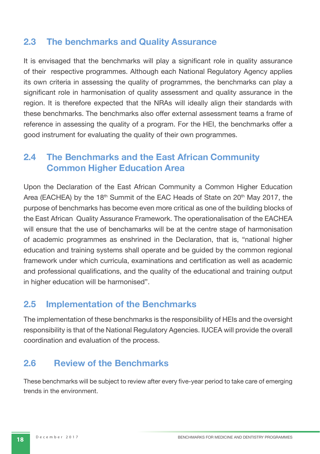### **2.3 The benchmarks and Quality Assurance**

It is envisaged that the benchmarks will play a significant role in quality assurance of their respective programmes. Although each National Regulatory Agency applies its own criteria in assessing the quality of programmes, the benchmarks can play a significant role in harmonisation of quality assessment and quality assurance in the region. It is therefore expected that the NRAs will ideally align their standards with these benchmarks. The benchmarks also offer external assessment teams a frame of reference in assessing the quality of a program. For the HEI, the benchmarks offer a good instrument for evaluating the quality of their own programmes.

### **2.4 The Benchmarks and the East African Community Common Higher Education Area**

Upon the Declaration of the East African Community a Common Higher Education Area (EACHEA) by the 18<sup>th</sup> Summit of the EAC Heads of State on 20<sup>th</sup> May 2017, the purpose of benchmarks has become even more critical as one of the building blocks of the East African Quality Assurance Framework. The operationalisation of the EACHEA will ensure that the use of benchamarks will be at the centre stage of harmonisation of academic programmes as enshrined in the Declaration, that is, "national higher education and training systems shall operate and be guided by the common regional framework under which curricula, examinations and certification as well as academic and professional qualifications, and the quality of the educational and training output in higher education will be harmonised".

### **2.5 Implementation of the Benchmarks**

The implementation of these benchmarks is the responsibility of HEIs and the oversight responsibility is that of the National Regulatory Agencies. IUCEA will provide the overall coordination and evaluation of the process.

### **2.6 Review of the Benchmarks**

These benchmarks will be subject to review after every five-year period to take care of emerging trends in the environment.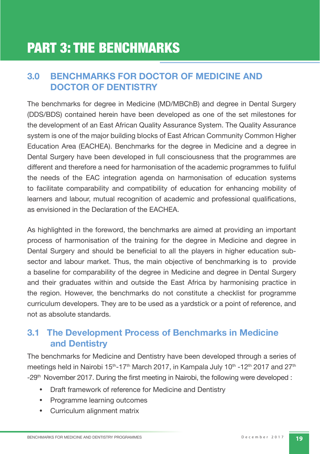# **3.0 BENCHMARKS FOR DOCTOR OF MEDICINE AND DOCTOR OF DENTISTRY**

The benchmarks for degree in Medicine (MD/MBChB) and degree in Dental Surgery (DDS/BDS) contained herein have been developed as one of the set milestones for the development of an East African Quality Assurance System. The Quality Assurance system is one of the major building blocks of East African Community Common Higher Education Area (EACHEA). Benchmarks for the degree in Medicine and a degree in Dental Surgery have been developed in full consciousness that the programmes are different and therefore a need for harmonisation of the academic programmes to fuliful the needs of the EAC integration agenda on harmonisation of education systems to facilitate comparability and compatibility of education for enhancing mobility of learners and labour, mutual recognition of academic and professional qualifications, as envisioned in the Declaration of the EACHEA.

As highlighted in the foreword, the benchmarks are aimed at providing an important process of harmonisation of the training for the degree in Medicine and degree in Dental Surgery and should be beneficial to all the players in higher education subsector and labour market. Thus, the main objective of benchmarking is to provide a baseline for comparability of the degree in Medicine and degree in Dental Surgery and their graduates within and outside the East Africa by harmonising practice in the region. However, the benchmarks do not constitute a checklist for programme curriculum developers. They are to be used as a yardstick or a point of reference, and not as absolute standards.

# **3.1 The Development Process of Benchmarks in Medicine and Dentistry**

The benchmarks for Medicine and Dentistry have been developed through a series of meetings held in Nairobi 15<sup>th</sup>-17<sup>th</sup> March 2017, in Kampala July 10<sup>th</sup> -12<sup>th</sup> 2017 and 27<sup>th</sup> -29<sup>th</sup> November 2017. During the first meeting in Nairobi, the following were developed :

- Draft framework of reference for Medicine and Dentistry
- Programme learning outcomes
- Curriculum alignment matrix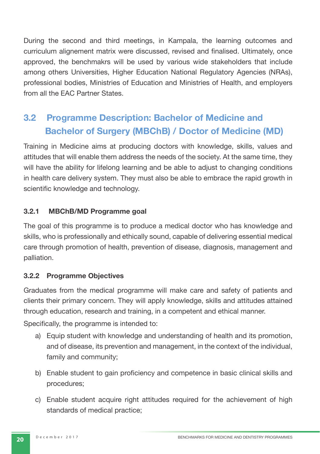During the second and third meetings, in Kampala, the learning outcomes and curriculum alignement matrix were discussed, revised and finalised. Ultimately, once approved, the benchmakrs will be used by various wide stakeholders that include among others Universities, Higher Education National Regulatory Agencies (NRAs), professional bodies, Ministries of Education and Ministries of Health, and employers from all the EAC Partner States.

# **3.2 Programme Description: Bachelor of Medicine and Bachelor of Surgery (MBChB) / Doctor of Medicine (MD)**

Training in Medicine aims at producing doctors with knowledge, skills, values and attitudes that will enable them address the needs of the society. At the same time, they will have the ability for lifelong learning and be able to adjust to changing conditions in health care delivery system. They must also be able to embrace the rapid growth in scientific knowledge and technology.

#### **3.2.1 MBChB/MD Programme goal**

The goal of this programme is to produce a medical doctor who has knowledge and skills, who is professionally and ethically sound, capable of delivering essential medical care through promotion of health, prevention of disease, diagnosis, management and palliation.

#### **3.2.2 Programme Objectives**

Graduates from the medical programme will make care and safety of patients and clients their primary concern. They will apply knowledge, skills and attitudes attained through education, research and training, in a competent and ethical manner.

Specifically, the programme is intended to:

- a) Equip student with knowledge and understanding of health and its promotion, and of disease, its prevention and management, in the context of the individual, family and community;
- b) Enable student to gain proficiency and competence in basic clinical skills and procedures;
- c) Enable student acquire right attitudes required for the achievement of high standards of medical practice;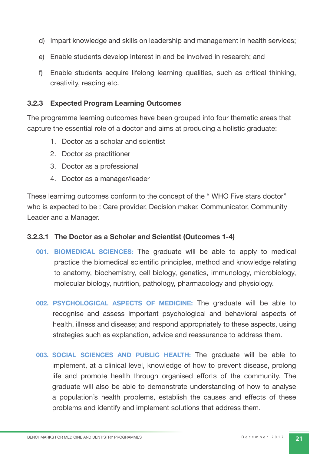- d) Impart knowledge and skills on leadership and management in health services;
- e) Enable students develop interest in and be involved in research; and
- f) Enable students acquire lifelong learning qualities, such as critical thinking, creativity, reading etc.

#### **3.2.3 Expected Program Learning Outcomes**

The programme learning outcomes have been grouped into four thematic areas that capture the essential role of a doctor and aims at producing a holistic graduate:

- 1. Doctor as a scholar and scientist
- 2. Doctor as practitioner
- 3. Doctor as a professional
- 4. Doctor as a manager/leader

These learnimg outcomes conform to the concept of the " WHO Five stars doctor" who is expected to be : Care provider, Decision maker, Communicator, Community Leader and a Manager.

#### **3.2.3.1 The Doctor as a Scholar and Scientist (Outcomes 1-4)**

- **001. BIOMEDICAL SCIENCES:** The graduate will be able to apply to medical practice the biomedical scientific principles, method and knowledge relating to anatomy, biochemistry, cell biology, genetics, immunology, microbiology, molecular biology, nutrition, pathology, pharmacology and physiology.
- **002. PSYCHOLOGICAL ASPECTS OF MEDICINE:** The graduate will be able to recognise and assess important psychological and behavioral aspects of health, illness and disease; and respond appropriately to these aspects, using strategies such as explanation, advice and reassurance to address them.
- **003. SOCIAL SCIENCES AND PUBLIC HEALTH:** The graduate will be able to implement, at a clinical level, knowledge of how to prevent disease, prolong life and promote health through organised efforts of the community. The graduate will also be able to demonstrate understanding of how to analyse a population's health problems, establish the causes and effects of these problems and identify and implement solutions that address them.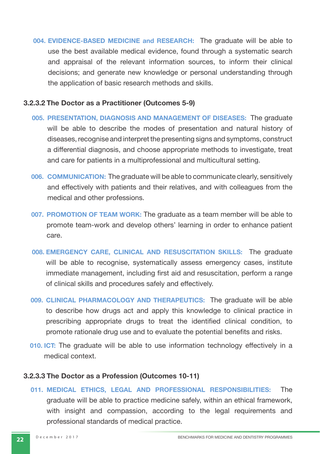**004. EVIDENCE-BASED MEDICINE and RESEARCH:** The graduate will be able to use the best available medical evidence, found through a systematic search and appraisal of the relevant information sources, to inform their clinical decisions; and generate new knowledge or personal understanding through the application of basic research methods and skills.

#### **3.2.3.2 The Doctor as a Practitioner (Outcomes 5-9)**

- **005. PRESENTATION, DIAGNOSIS AND MANAGEMENT OF DISEASES:** The graduate will be able to describe the modes of presentation and natural history of diseases, recognise and interpret the presenting signs and symptoms, construct a differential diagnosis, and choose appropriate methods to investigate, treat and care for patients in a multiprofessional and multicultural setting.
- **006. COMMUNICATION:** The graduate will be able to communicate clearly, sensitively and effectively with patients and their relatives, and with colleagues from the medical and other professions.
- **007. PROMOTION OF TEAM WORK:** The graduate as a team member will be able to promote team-work and develop others' learning in order to enhance patient care.
- **008. EMERGENCY CARE, CLINICAL AND RESUSCITATION SKILLS:** The graduate will be able to recognise, systematically assess emergency cases, institute immediate management, including first aid and resuscitation, perform a range of clinical skills and procedures safely and effectively.
- **009. CLINICAL PHARMACOLOGY AND THERAPEUTICS:** The graduate will be able to describe how drugs act and apply this knowledge to clinical practice in prescribing appropriate drugs to treat the identified clinical condition, to promote rationale drug use and to evaluate the potential benefits and risks.
- **010. ICT:** The graduate will be able to use information technology effectively in a medical context.

#### **3.2.3.3 The Doctor as a Profession (Outcomes 10-11)**

**011. MEDICAL ETHICS, LEGAL AND PROFESSIONAL RESPONSIBILITIES:** The graduate will be able to practice medicine safely, within an ethical framework, with insight and compassion, according to the legal requirements and professional standards of medical practice.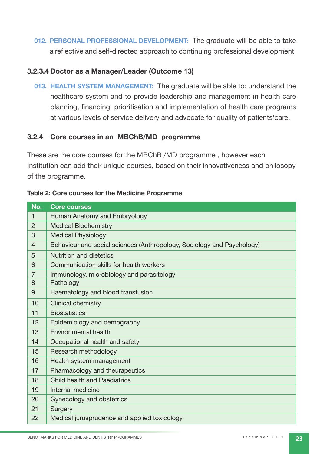**012. PERSONAL PROFESSIONAL DEVELOPMENT:** The graduate will be able to take a reflective and self-directed approach to continuing professional development.

#### **3.2.3.4 Doctor as a Manager/Leader (Outcome 13)**

**013. HEALTH SYSTEM MANAGEMENT:** The graduate will be able to: understand the healthcare system and to provide leadership and management in health care planning, financing, prioritisation and implementation of health care programs at various levels of service delivery and advocate for quality of patients'care.

#### **3.2.4 Core courses in an MBChB/MD programme**

These are the core courses for the MBChB /MD programme , however each Institution can add their unique courses, based on their innovativeness and philosopy of the programme.

| No.            | <b>Core courses</b>                                                    |
|----------------|------------------------------------------------------------------------|
| $\mathbf{1}$   | Human Anatomy and Embryology                                           |
| 2              | <b>Medical Biochemistry</b>                                            |
| 3              | <b>Medical Physiology</b>                                              |
| $\overline{4}$ | Behaviour and social sciences (Anthropology, Sociology and Psychology) |
| 5              | Nutrition and dietetics                                                |
| 6              | Communication skills for health workers                                |
| $\overline{7}$ | Immunology, microbiology and parasitology                              |
| 8              | Pathology                                                              |
| 9              | Haematology and blood transfusion                                      |
| 10             | Clinical chemistry                                                     |
| 11             | <b>Biostatistics</b>                                                   |
| 12             | Epidemiology and demography                                            |
| 13             | Environmental health                                                   |
| 14             | Occupational health and safety                                         |
| 15             | Research methodology                                                   |
| 16             | Health system management                                               |
| 17             | Pharmacology and theurapeutics                                         |
| 18             | <b>Child health and Paediatrics</b>                                    |
| 19             | Internal medicine                                                      |
| 20             | Gynecology and obstetrics                                              |
| 21             | Surgery                                                                |
| 22             | Medical jurusprudence and applied toxicology                           |

#### **Table 2: Core courses for the Medicine Programme**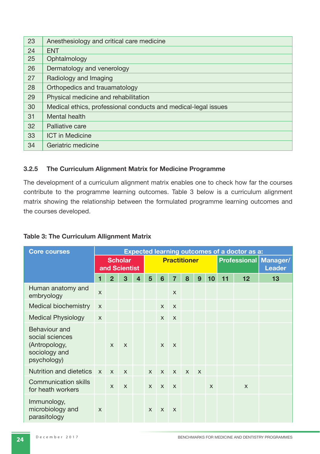| 23 | Anesthesiology and critical care medicine                      |
|----|----------------------------------------------------------------|
| 24 | <b>ENT</b>                                                     |
| 25 | Ophtalmology                                                   |
| 26 | Dermatology and venerology                                     |
| 27 | Radiology and Imaging                                          |
| 28 | Orthopedics and trauamatology                                  |
| 29 | Physical medicine and rehabilitation                           |
| 30 | Medical ethics, professional conducts and medical-legal issues |
| 31 | Mental health                                                  |
| 32 | Palliative care                                                |
| 33 | <b>ICT</b> in Medicine                                         |
| 34 | Geriatric medicine                                             |

#### **3.2.5 The Curriculum Alignment Matrix for Medicine Programme**

The development of a curriculum alignment matrix enables one to check how far the courses contribute to the programme learning outcomes. Table 3 below is a curriculum alignment matrix showing the relationship between the formulated programme learning outcomes and the courses developed.

| <b>Table 3: The Curriculum Allignment Matrix</b> |  |  |  |  |
|--------------------------------------------------|--|--|--|--|
|--------------------------------------------------|--|--|--|--|

| <b>Core courses</b>                                                               |                           | <b>Expected learning outcomes of a doctor as a:</b> |              |   |              |                           |                     |              |              |    |    |              |                                                 |  |
|-----------------------------------------------------------------------------------|---------------------------|-----------------------------------------------------|--------------|---|--------------|---------------------------|---------------------|--------------|--------------|----|----|--------------|-------------------------------------------------|--|
|                                                                                   |                           | <b>Scholar</b><br>and Scientist                     |              |   |              |                           | <b>Practitioner</b> |              |              |    |    |              | <b>Professional   Manager/</b><br><b>Leader</b> |  |
|                                                                                   | 1                         | $\overline{2}$                                      | 3            | 4 | 5            | 6                         | 7                   | 8            | 9            | 10 | 11 | 12           | 13                                              |  |
| Human anatomy and<br>embryology                                                   | X                         |                                                     |              |   |              |                           | $\mathsf{X}$        |              |              |    |    |              |                                                 |  |
| Medical biochemistry                                                              | $\mathsf{X}$              |                                                     |              |   |              | $\mathsf{x}$              | $\mathsf{x}$        |              |              |    |    |              |                                                 |  |
| <b>Medical Physiology</b>                                                         | $\boldsymbol{\mathsf{x}}$ |                                                     |              |   |              | $\mathsf{X}$              | $\mathsf{x}$        |              |              |    |    |              |                                                 |  |
| Behaviour and<br>social sciences<br>(Antropology,<br>sociology and<br>psychology) |                           | $\mathsf{x}$                                        | $\mathsf{x}$ |   |              | $\boldsymbol{\mathsf{x}}$ | $\mathsf{x}$        |              |              |    |    |              |                                                 |  |
| Nutrition and dietetics                                                           | $\mathsf{x}$              | $\mathsf{x}$                                        | $\mathsf{x}$ |   | $\mathsf{x}$ | $\mathsf{x}$              | $\mathsf{x}$        | $\mathsf{x}$ | $\mathsf{x}$ |    |    |              |                                                 |  |
| <b>Communication skills</b><br>for heath workers                                  |                           | $\mathsf{x}$                                        | $\mathsf{x}$ |   | $\mathsf{x}$ | $\mathsf{x}$              | $\mathsf{x}$        |              |              | X  |    | $\mathsf{x}$ |                                                 |  |
| Immunology,<br>microbiology and<br>parasitology                                   | $\boldsymbol{\mathsf{X}}$ |                                                     |              |   | $\mathsf{x}$ | $\mathsf{x}$              | $\mathsf{x}$        |              |              |    |    |              |                                                 |  |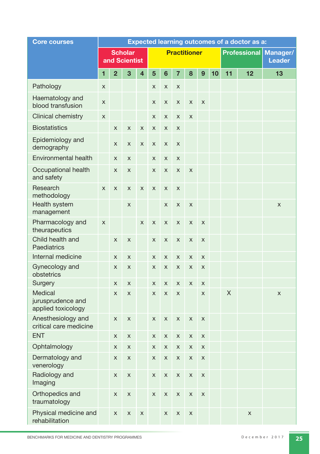| <b>Core courses</b>                                |              | Expected learning outcomes of a doctor as a: |                                 |                           |   |                |                     |             |                           |    |    |                     |                           |
|----------------------------------------------------|--------------|----------------------------------------------|---------------------------------|---------------------------|---|----------------|---------------------|-------------|---------------------------|----|----|---------------------|---------------------------|
|                                                    |              |                                              | <b>Scholar</b><br>and Scientist |                           |   |                | <b>Practitioner</b> |             |                           |    |    | <b>Professional</b> | Manager/<br><b>Leader</b> |
|                                                    | 1            | $\overline{2}$                               | 3                               | $\overline{\mathbf{4}}$   | 5 | $6\phantom{1}$ | $\overline{7}$      | 8           | $\mathbf{9}$              | 10 | 11 | 12                  | 13                        |
| Pathology                                          | $\mathsf{x}$ |                                              |                                 |                           | X | $\pmb{\times}$ | X                   |             |                           |    |    |                     |                           |
| Haematology and<br>blood transfusion               | X            |                                              |                                 |                           | X | $\pmb{\times}$ | X                   | X           | X                         |    |    |                     |                           |
| Clinical chemistry                                 | $\mathsf{x}$ |                                              |                                 |                           | X | X              | X                   | X           |                           |    |    |                     |                           |
| <b>Biostatistics</b>                               |              | X                                            | X                               | $\pmb{\times}$            | X | X              | X                   |             |                           |    |    |                     |                           |
| Epidemiology and<br>demography                     |              | X                                            | X                               | X                         | X | X              | X                   |             |                           |    |    |                     |                           |
| Environmental health                               |              | X                                            | X                               |                           | X | X              | X                   |             |                           |    |    |                     |                           |
| Occupational health<br>and safety                  |              | X                                            | X                               |                           | X | X              | X                   | X           |                           |    |    |                     |                           |
| Research<br>methodology                            | X            | X                                            | X                               | X                         | X | X              | X                   |             |                           |    |    |                     |                           |
| Health system<br>management                        |              |                                              | X                               |                           |   | X              | X                   | X           |                           |    |    |                     | X                         |
| Pharmacology and<br>theurapeutics                  | X            |                                              |                                 | X                         | X | X              | X                   | X           | X                         |    |    |                     |                           |
| Child health and<br>Paediatrics                    |              | X                                            | $\pmb{\times}$                  |                           | X | $\pmb{\times}$ | X                   | X           | X                         |    |    |                     |                           |
| Internal medicine                                  |              | X                                            | X                               |                           | X | X              | X                   | X           | X                         |    |    |                     |                           |
| Gynecology and<br>obstetrics                       |              | X                                            | X                               |                           | X | X              | X                   | X           | X                         |    |    |                     |                           |
| Surgery                                            |              | X                                            | X                               |                           | X | X              | X                   | X           | X                         |    |    |                     |                           |
| Medical<br>jurusprudence and<br>applied toxicology |              | X                                            | X                               |                           | X | X              | X                   |             | X                         |    | X  |                     | X                         |
| Anesthesiology and<br>critical care medicine       |              | X                                            | X                               |                           | X | X              | X                   | X           | X                         |    |    |                     |                           |
| <b>ENT</b>                                         |              | $\pmb{\times}$                               | $\pmb{\times}$                  |                           | X | $\mathsf X$    | $\mathsf X$         | $\mathsf X$ | $\mathsf X$               |    |    |                     |                           |
| Ophtalmology                                       |              | $\mathsf X$                                  | $\mathsf X$                     |                           | X | $\mathsf X$    | $\mathsf{X}$        | $\mathsf X$ | $\mathsf X$               |    |    |                     |                           |
| Dermatology and<br>venerology                      |              | $\mathsf X$                                  | X                               |                           | X | $\mathsf X$    | $\mathsf X$         | $\mathsf X$ | $\boldsymbol{\mathsf{X}}$ |    |    |                     |                           |
| Radiology and<br>Imaging                           |              | $\mathsf X$                                  | $\boldsymbol{\mathsf{X}}$       |                           | X | $\mathsf X$    | $\mathsf X$         | $\mathsf X$ | $\mathsf X$               |    |    |                     |                           |
| Orthopedics and<br>traumatology                    |              | $\mathsf X$                                  | $\boldsymbol{\mathsf{X}}$       |                           | X | $\mathsf X$    | $\mathsf X$         | X           | $\mathsf X$               |    |    |                     |                           |
| Physical medicine and<br>rehabilitation            |              | $\mathsf X$                                  | $\boldsymbol{\mathsf{X}}$       | $\boldsymbol{\mathsf{X}}$ |   | $\mathsf X$    | $\mathsf X$         | $\mathsf X$ |                           |    |    | $\mathsf{x}$        |                           |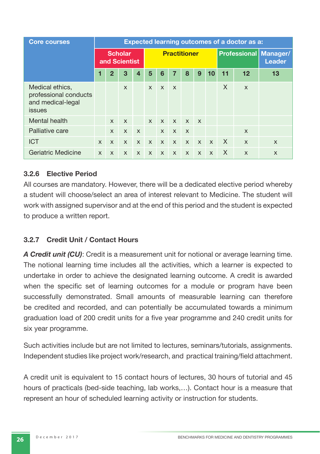| <b>Core courses</b>                                                            |              | <b>Expected learning outcomes of a doctor as a:</b> |                                 |              |              |              |                     |              |              |                           |          |                           |                                               |  |
|--------------------------------------------------------------------------------|--------------|-----------------------------------------------------|---------------------------------|--------------|--------------|--------------|---------------------|--------------|--------------|---------------------------|----------|---------------------------|-----------------------------------------------|--|
|                                                                                |              |                                                     | <b>Scholar</b><br>and Scientist |              |              |              | <b>Practitioner</b> |              |              |                           |          |                           | <b>Professional Manager/</b><br><b>Leader</b> |  |
|                                                                                |              | $\overline{2}$                                      | 3                               | 4            | 5            | 6            | 7                   | 8            | 9            | 10                        | 11       | 12                        | 13                                            |  |
| Medical ethics,<br>professional conducts<br>and medical-legal<br><b>issues</b> |              |                                                     | $\boldsymbol{\mathsf{x}}$       |              | $\mathsf{x}$ | $\mathsf{x}$ | $\mathsf{x}$        |              |              |                           | X        | $\boldsymbol{\mathsf{X}}$ |                                               |  |
| Mental health                                                                  |              | $\mathsf{x}$                                        | $\boldsymbol{\mathsf{x}}$       |              | $\mathsf{x}$ | $\mathsf{X}$ | $\mathsf{x}$        | $X$ $X$      |              |                           |          |                           |                                               |  |
| Palliative care                                                                |              | $\mathsf{x}$                                        | $\boldsymbol{\mathsf{X}}$       | $\mathsf{X}$ |              | $\mathsf{x}$ | $\mathsf{x}$        | $\mathsf{x}$ |              |                           |          | $\boldsymbol{\mathsf{x}}$ |                                               |  |
| <b>ICT</b>                                                                     | $\mathsf{x}$ | $\mathsf{x}$                                        | $\boldsymbol{\mathsf{X}}$       | $\mathsf{x}$ | $\mathsf{x}$ | $\mathsf{X}$ | $\mathsf{X}$        | $\mathsf{x}$ | $\mathsf{x}$ | $\mathsf{x}$              | $\times$ | $\boldsymbol{\mathsf{X}}$ | $\mathsf{x}$                                  |  |
| Geriatric Medicine                                                             | $\mathsf{x}$ | $\mathsf{x}$                                        | $\boldsymbol{\mathsf{x}}$       | X            | $\mathsf{x}$ | $\mathsf{x}$ | $\mathsf{x}$        | $\mathsf{x}$ | X            | $\boldsymbol{\mathsf{x}}$ | X        | X                         | X                                             |  |

#### **3.2.6 Elective Period**

All courses are mandatory. However, there will be a dedicated elective period whereby a student will choose/select an area of interest relevant to Medicine. The student will work with assigned supervisor and at the end of this period and the student is expected to produce a written report.

#### **3.2.7 Credit Unit / Contact Hours**

*A Credit unit (CU)*: Credit is a measurement unit for notional or average learning time. The notional learning time includes all the activities, which a learner is expected to undertake in order to achieve the designated learning outcome. A credit is awarded when the specific set of learning outcomes for a module or program have been successfully demonstrated. Small amounts of measurable learning can therefore be credited and recorded, and can potentially be accumulated towards a minimum graduation load of 200 credit units for a five year programme and 240 credit units for six year programme.

Such activities include but are not limited to lectures, seminars/tutorials, assignments. Independent studies like project work/research, and practical training/field attachment.

A credit unit is equivalent to 15 contact hours of lectures, 30 hours of tutorial and 45 hours of practicals (bed-side teaching, lab works,…). Contact hour is a measure that represent an hour of scheduled learning activity or instruction for students.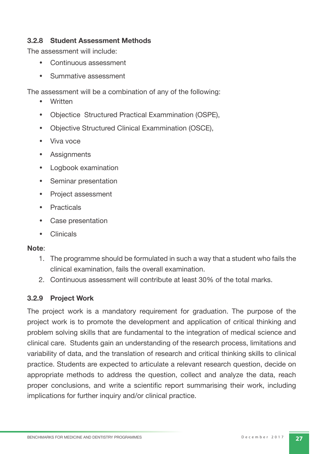#### **3.2.8 Student Assessment Methods**

The assessment will include:

- Continuous assessment
- Summative assessment

The assessment will be a combination of any of the following:

- Written
- Objectice Structured Practical Exammination (OSPE),
- Objective Structured Clinical Exammination (OSCE),
- Viva voce
- Assignments
- Logbook examination
- Seminar presentation
- Project assessment
- Practicals
- Case presentation
- Clinicals

#### **Note**:

- 1. The programme should be formulated in such a way that a student who fails the clinical examination, fails the overall examination.
- 2. Continuous assessment will contribute at least 30% of the total marks.

#### **3.2.9 Project Work**

The project work is a mandatory requirement for graduation. The purpose of the project work is to promote the development and application of critical thinking and problem solving skills that are fundamental to the integration of medical science and clinical care. Students gain an understanding of the research process, limitations and variability of data, and the translation of research and critical thinking skills to clinical practice. Students are expected to articulate a relevant research question, decide on appropriate methods to address the question, collect and analyze the data, reach proper conclusions, and write a scientific report summarising their work, including implications for further inquiry and/or clinical practice.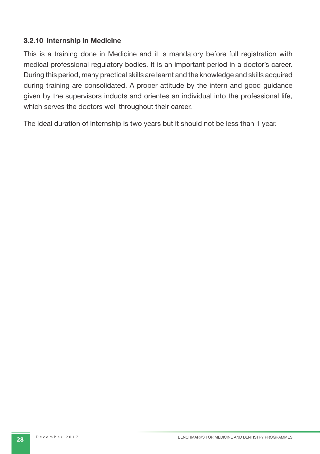#### **3.2.10 Internship in Medicine**

This is a training done in Medicine and it is mandatory before full registration with medical professional regulatory bodies. It is an important period in a doctor's career. During this period, many practical skills are learnt and the knowledge and skills acquired during training are consolidated. A proper attitude by the intern and good guidance given by the supervisors inducts and orientes an individual into the professional life, which serves the doctors well throughout their career.

The ideal duration of internship is two years but it should not be less than 1 year.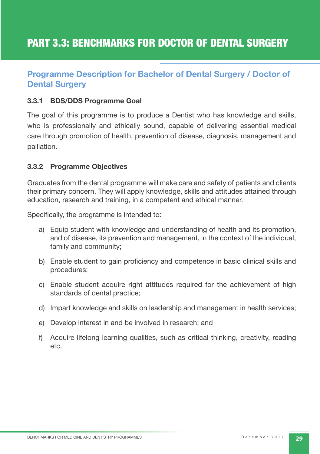### **Programme Description for Bachelor of Dental Surgery / Doctor of Dental Surgery**

#### **3.3.1 BDS/DDS Programme Goal**

The goal of this programme is to produce a Dentist who has knowledge and skills, who is professionally and ethically sound, capable of delivering essential medical care through promotion of health, prevention of disease, diagnosis, management and palliation.

#### **3.3.2 Programme Objectives**

Graduates from the dental programme will make care and safety of patients and clients their primary concern. They will apply knowledge, skills and attitudes attained through education, research and training, in a competent and ethical manner.

Specifically, the programme is intended to:

- a) Equip student with knowledge and understanding of health and its promotion, and of disease, its prevention and management, in the context of the individual, family and community;
- b) Enable student to gain proficiency and competence in basic clinical skills and procedures;
- c) Enable student acquire right attitudes required for the achievement of high standards of dental practice;
- d) Impart knowledge and skills on leadership and management in health services;
- e) Develop interest in and be involved in research; and
- f) Acquire lifelong learning qualities, such as critical thinking, creativity, reading etc.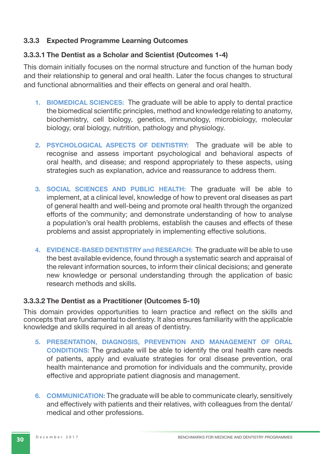#### **3.3.3 Expected Programme Learning Outcomes**

#### **3.3.3.1 The Dentist as a Scholar and Scientist (Outcomes 1-4)**

This domain initially focuses on the normal structure and function of the human body and their relationship to general and oral health. Later the focus changes to structural and functional abnormalities and their effects on general and oral health.

- **1. BIOMEDICAL SCIENCES:** The graduate will be able to apply to dental practice the biomedical scientific principles, method and knowledge relating to anatomy, biochemistry, cell biology, genetics, immunology, microbiology, molecular biology, oral biology, nutrition, pathology and physiology.
- **2. PSYCHOLOGICAL ASPECTS OF DENTISTRY:** The graduate will be able to recognise and assess important psychological and behavioral aspects of oral health, and disease; and respond appropriately to these aspects, using strategies such as explanation, advice and reassurance to address them.
- **3. SOCIAL SCIENCES AND PUBLIC HEALTH:** The graduate will be able to implement, at a clinical level, knowledge of how to prevent oral diseases as part of general health and well-being and promote oral health through the organized efforts of the community; and demonstrate understanding of how to analyse a population's oral health problems, establish the causes and effects of these problems and assist appropriately in implementing effective solutions.
- **4. EVIDENCE-BASED DENTISTRY and RESEARCH:** The graduate will be able to use the best available evidence, found through a systematic search and appraisal of the relevant information sources, to inform their clinical decisions; and generate new knowledge or personal understanding through the application of basic research methods and skills.

#### **3.3.3.2 The Dentist as a Practitioner (Outcomes 5-10)**

This domain provides opportunities to learn practice and reflect on the skills and concepts that are fundamental to dentistry. It also ensures familiarity with the applicable knowledge and skills required in all areas of dentistry.

- **5. PRESENTATION, DIAGNOSIS, PREVENTION AND MANAGEMENT OF ORAL CONDITIONS:** The graduate will be able to identify the oral health care needs of patients, apply and evaluate strategies for oral disease prevention, oral health maintenance and promotion for individuals and the community, provide effective and appropriate patient diagnosis and management.
- **6. COMMUNICATION:** The graduate will be able to communicate clearly, sensitively and effectively with patients and their relatives, with colleagues from the dental/ medical and other professions.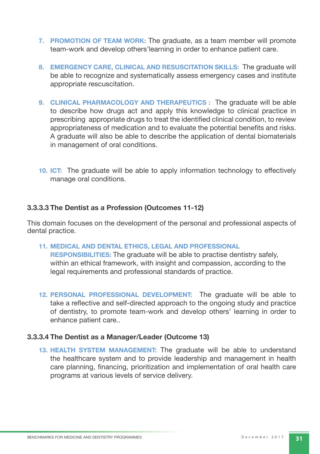- **7. PROMOTION OF TEAM WORK:** The graduate, as a team member will promote team-work and develop others'learning in order to enhance patient care.
- **8. EMERGENCY CARE, CLINICAL AND RESUSCITATION SKILLS:** The graduate will be able to recognize and systematically assess emergency cases and institute appropriate rescuscitation.
- **9. CLINICAL PHARMACOLOGY AND THERAPEUTICS :** The graduate will be able to describe how drugs act and apply this knowledge to clinical practice in prescribing appropriate drugs to treat the identified clinical condition, to review appropriateness of medication and to evaluate the potential benefits and risks. A graduate will also be able to describe the application of dental biomaterials in management of oral conditions.
- **10. ICT:** The graduate will be able to apply information technology to effectively manage oral conditions.

#### **3.3.3.3 The Dentist as a Profession (Outcomes 11-12)**

This domain focuses on the development of the personal and professional aspects of dental practice.

**11. MEDICAL AND DENTAL ETHICS, LEGAL AND PROFESSIONAL** 

**RESPONSIBILITIES:** The graduate will be able to practise dentistry safely, within an ethical framework, with insight and compassion, according to the legal requirements and professional standards of practice.

**12. PERSONAL PROFESSIONAL DEVELOPMENT:** The graduate will be able to take a reflective and self-directed approach to the ongoing study and practice of dentistry, to promote team-work and develop others' learning in order to enhance patient care..

#### **3.3.3.4 The Dentist as a Manager/Leader (Outcome 13)**

**13. HEALTH SYSTEM MANAGEMENT:** The graduate will be able to understand the healthcare system and to provide leadership and management in health care planning, financing, prioritization and implementation of oral health care programs at various levels of service delivery.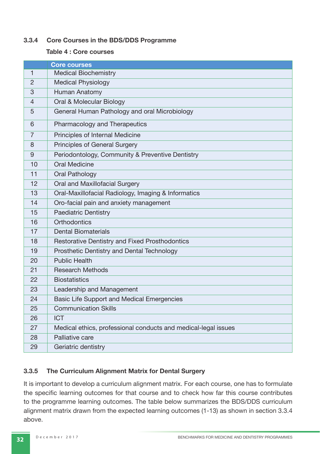#### **3.3.4 Core Courses in the BDS/DDS Programme**

#### **Table 4 : Core courses**

|                | <b>Core courses</b>                                            |
|----------------|----------------------------------------------------------------|
| 1              | <b>Medical Biochemistry</b>                                    |
| $\overline{2}$ | <b>Medical Physiology</b>                                      |
| 3              | Human Anatomy                                                  |
| $\overline{4}$ | Oral & Molecular Biology                                       |
| 5              | General Human Pathology and oral Microbiology                  |
| 6              | Pharmacology and Therapeutics                                  |
| 7              | Principles of Internal Medicine                                |
| 8              | Principles of General Surgery                                  |
| 9              | Periodontology, Community & Preventive Dentistry               |
| 10             | <b>Oral Medicine</b>                                           |
| 11             | Oral Pathology                                                 |
| 12             | Oral and Maxillofacial Surgery                                 |
| 13             | Oral-Maxillofacial Radiology, Imaging & Informatics            |
| 14             | Oro-facial pain and anxiety management                         |
| 15             | <b>Paediatric Dentistry</b>                                    |
| 16             | Orthodontics                                                   |
| 17             | <b>Dental Biomaterials</b>                                     |
| 18             | Restorative Dentistry and Fixed Prosthodontics                 |
| 19             | Prosthetic Dentistry and Dental Technology                     |
| 20             | <b>Public Health</b>                                           |
| 21             | <b>Research Methods</b>                                        |
| 22             | <b>Biostatistics</b>                                           |
| 23             | Leadership and Management                                      |
| 24             | Basic Life Support and Medical Emergencies                     |
| 25             | <b>Communication Skills</b>                                    |
| 26             | <b>ICT</b>                                                     |
| 27             | Medical ethics, professional conducts and medical-legal issues |
| 28             | Palliative care                                                |
| 29             | Geriatric dentistry                                            |

#### **3.3.5 The Curriculum Alignment Matrix for Dental Surgery**

It is important to develop a curriculum alignment matrix. For each course, one has to formulate the specific learning outcomes for that course and to check how far this course contributes to the programme learning outcomes. The table below summarizes the BDS/DDS curriculum alignment matrix drawn from the expected learning outcomes (1-13) as shown in section 3.3.4 above.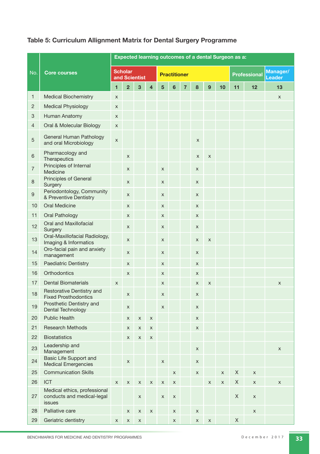#### **Table 5: Curriculum Allignment Matrix for Dental Surgery Programme**

|                |                                                                      |                                 | Expected learning outcomes of a dental Surgeon as a: |             |                |             |                     |                |                |             |                     |             |                           |             |
|----------------|----------------------------------------------------------------------|---------------------------------|------------------------------------------------------|-------------|----------------|-------------|---------------------|----------------|----------------|-------------|---------------------|-------------|---------------------------|-------------|
| No.            | <b>Core courses</b>                                                  | <b>Scholar</b><br>and Scientist |                                                      |             |                |             | <b>Practitioner</b> |                |                |             | <b>Professional</b> |             | Manager/<br><b>Leader</b> |             |
|                |                                                                      |                                 | $\overline{2}$                                       | 3           | $\overline{4}$ | 5           | 6                   | $\overline{7}$ | 8              | 9           | 10 <sup>1</sup>     | 11          | 12                        | 13          |
| 1              | <b>Medical Biochemistry</b>                                          | X                               |                                                      |             |                |             |                     |                |                |             |                     |             |                           | X           |
| $\overline{c}$ | <b>Medical Physiology</b>                                            | X                               |                                                      |             |                |             |                     |                |                |             |                     |             |                           |             |
| 3              | Human Anatomy                                                        | X                               |                                                      |             |                |             |                     |                |                |             |                     |             |                           |             |
| 4              | Oral & Molecular Biology                                             | X                               |                                                      |             |                |             |                     |                |                |             |                     |             |                           |             |
| 5              | General Human Pathology<br>and oral Microbiology                     | X                               |                                                      |             |                |             |                     |                | $\pmb{\times}$ |             |                     |             |                           |             |
| 6              | Pharmacology and<br>Therapeutics                                     |                                 | X                                                    |             |                |             |                     |                | X              | X           |                     |             |                           |             |
| $\overline{7}$ | Principles of Internal<br>Medicine                                   |                                 | X                                                    |             |                | X           |                     |                | X              |             |                     |             |                           |             |
| 8              | <b>Principles of General</b><br>Surgery                              |                                 | X                                                    |             |                | X           |                     |                | X              |             |                     |             |                           |             |
| 9              | Periodontology, Community<br>& Preventive Dentistry                  |                                 | X                                                    |             |                | X           |                     |                | X              |             |                     |             |                           |             |
| 10             | <b>Oral Medicine</b>                                                 |                                 | X                                                    |             |                | X           |                     |                | X              |             |                     |             |                           |             |
| 11             | <b>Oral Pathology</b>                                                |                                 | X                                                    |             |                | X           |                     |                | X              |             |                     |             |                           |             |
| 12             | Oral and Maxillofacial<br>Surgery                                    |                                 | X                                                    |             |                | X           |                     |                | X              |             |                     |             |                           |             |
| 13             | Oral-Maxillofacial Radiology,<br>Imaging & Informatics               |                                 | X                                                    |             |                | X           |                     |                | X              | X           |                     |             |                           |             |
| 14             | Oro-facial pain and anxiety<br>management                            |                                 | X                                                    |             |                | X           |                     |                | X              |             |                     |             |                           |             |
| 15             | <b>Paediatric Dentistry</b>                                          |                                 | X                                                    |             |                | X           |                     |                | X              |             |                     |             |                           |             |
| 16             | <b>Orthodontics</b>                                                  |                                 | X                                                    |             |                | X           |                     |                | X              |             |                     |             |                           |             |
| 17             | <b>Dental Biomaterials</b>                                           | X                               |                                                      |             |                | x           |                     |                | X              | X           |                     |             |                           | X           |
| 18             | Restorative Dentistry and<br><b>Fixed Prosthodontics</b>             |                                 | $\pmb{\times}$                                       |             |                | X           |                     |                | X              |             |                     |             |                           |             |
| 19             | Prosthetic Dentistry and<br>Dental Technology                        |                                 | X                                                    |             |                | X           |                     |                | X              |             |                     |             |                           |             |
| 20             | <b>Public Health</b>                                                 |                                 | X                                                    | X           | X              |             |                     |                | X              |             |                     |             |                           |             |
| 21             | <b>Research Methods</b>                                              |                                 | X                                                    | X           | X              |             |                     |                | X              |             |                     |             |                           |             |
| 22             | <b>Biostatistics</b>                                                 |                                 | x                                                    | X           | Χ              |             |                     |                |                |             |                     |             |                           |             |
| 23             | Leadership and<br>Management                                         |                                 |                                                      |             |                |             |                     |                | X              |             |                     |             |                           | $\mathsf X$ |
| 24             | <b>Basic Life Support and</b><br><b>Medical Emergencies</b>          |                                 | X                                                    |             |                | X           |                     |                | X              |             |                     |             |                           |             |
| 25             | <b>Communication Skills</b>                                          |                                 |                                                      |             |                |             | X                   |                | X              |             | X                   | X           | $\mathsf X$               |             |
| 26             | <b>ICT</b>                                                           | X                               | X                                                    | X           | $\mathsf X$    | $\mathsf X$ | X                   |                |                | X           | X                   | X           | X                         | X           |
| 27             | Medical ethics, professional<br>conducts and medical-legal<br>issues |                                 |                                                      | X           |                | X           | X                   |                |                |             |                     | X           | $\mathsf X$               |             |
| 28             | Palliative care                                                      |                                 | X                                                    | X           | $\mathsf X$    |             | X                   |                | X              |             |                     |             | $\mathsf X$               |             |
| 29             | Geriatric dentistry                                                  | X                               | X                                                    | $\mathsf X$ |                |             | X                   |                | X              | $\mathsf X$ |                     | $\mathsf X$ |                           |             |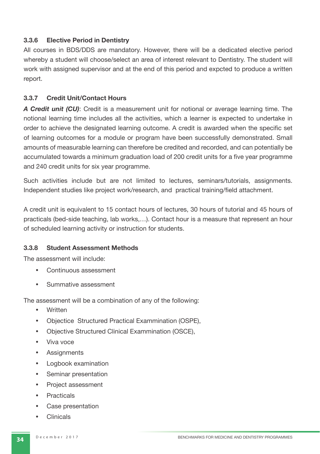#### **3.3.6 Elective Period in Dentistry**

All courses in BDS/DDS are mandatory. However, there will be a dedicated elective period whereby a student will choose/select an area of interest relevant to Dentistry. The student will work with assigned supervisor and at the end of this period and expcted to produce a written report.

#### **3.3.7 Credit Unit/Contact Hours**

*A Credit unit (CU)*: Credit is a measurement unit for notional or average learning time. The notional learning time includes all the activities, which a learner is expected to undertake in order to achieve the designated learning outcome. A credit is awarded when the specific set of learning outcomes for a module or program have been successfully demonstrated. Small amounts of measurable learning can therefore be credited and recorded, and can potentially be accumulated towards a minimum graduation load of 200 credit units for a five year programme and 240 credit units for six year programme.

Such activities include but are not limited to lectures, seminars/tutorials, assignments. Independent studies like project work/research, and practical training/field attachment.

A credit unit is equivalent to 15 contact hours of lectures, 30 hours of tutorial and 45 hours of practicals (bed-side teaching, lab works,…). Contact hour is a measure that represent an hour of scheduled learning activity or instruction for students.

#### **3.3.8 Student Assessment Methods**

The assessment will include:

- Continuous assessment
- Summative assessment

The assessment will be a combination of any of the following:

- Written
- Objectice Structured Practical Exammination (OSPE),
- Objective Structured Clinical Exammination (OSCE),
- Viva voce
- **Assignments**
- Logbook examination
- Seminar presentation
- Project assessment
- Practicals
- Case presentation
- Clinicals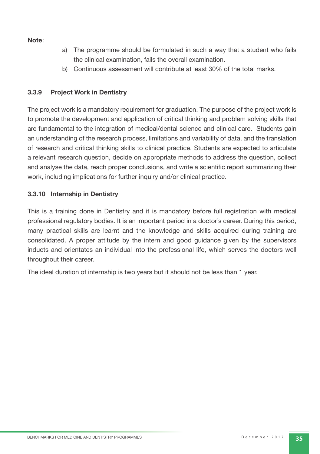#### **Note**:

- a) The programme should be formulated in such a way that a student who fails the clinical examination, fails the overall examination.
- b) Continuous assessment will contribute at least 30% of the total marks.

#### **3.3.9 Project Work in Dentistry**

The project work is a mandatory requirement for graduation. The purpose of the project work is to promote the development and application of critical thinking and problem solving skills that are fundamental to the integration of medical/dental science and clinical care. Students gain an understanding of the research process, limitations and variability of data, and the translation of research and critical thinking skills to clinical practice. Students are expected to articulate a relevant research question, decide on appropriate methods to address the question, collect and analyse the data, reach proper conclusions, and write a scientific report summarizing their work, including implications for further inquiry and/or clinical practice.

#### **3.3.10 Internship in Dentistry**

This is a training done in Dentistry and it is mandatory before full registration with medical professional regulatory bodies. It is an important period in a doctor's career. During this period, many practical skills are learnt and the knowledge and skills acquired during training are consolidated. A proper attitude by the intern and good guidance given by the supervisors inducts and orientates an individual into the professional life, which serves the doctors well throughout their career.

The ideal duration of internship is two years but it should not be less than 1 year.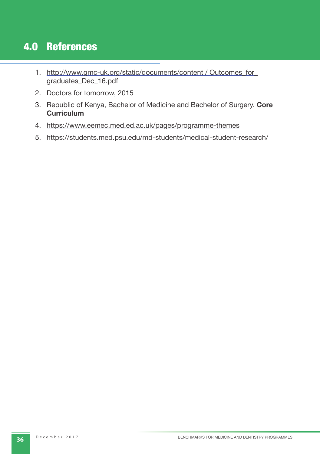# 4.0 References

- 1. http://www.gmc-uk.org/static/documents/content / Outcomes\_for\_ graduates\_Dec\_16.pdf
- 2. Doctors for tomorrow, 2015
- 3. Republic of Kenya, Bachelor of Medicine and Bachelor of Surgery. **Core Curriculum**
- 4. https://www.eemec.med.ed.ac.uk/pages/programme-themes
- 5. https://students.med.psu.edu/md-students/medical-student-research/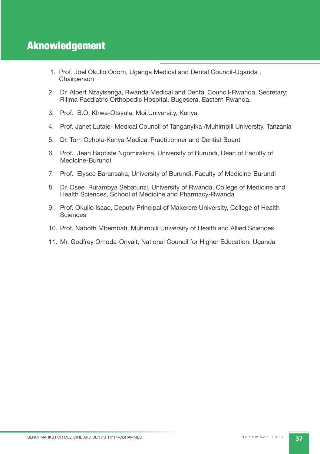- 1. Prof. Joel Okullo Odom, Uganga Medical and Dental Council-Uganda , Chairperson
- 2. Dr. Albert Nzayisenga, Rwanda Medical and Dental Council-Rwanda, Secretary; Rilima Paediatric Orthopedic Hospital, Bugesera, Eastern Rwanda.
- 3. Prof. B.O. Khwa-Otsyula, Moi University, Kenya
- 4. Prof. Janet Lutale- Medical Council of Tanganyika /Muhimbili University, Tanzania
- 5. Dr. Tom Ochola-Kenya Medical Practitionner and Dentist Board
- 6. Prof. Jean Baptiste Ngomirakiza, University of Burundi, Dean of Faculty of Medicine-Burundi
- 7. Prof. Elysee Baransaka, University of Burundi, Faculty of Medicine-Burundi
- 8. Dr. Osee Rurambya Sebatunzi, University of Rwanda, College of Medicine and Health Sciences, School of Medicine and Pharmacy-Rwanda
- 9. Prof. Okullo Isaac, Deputy Principal of Makerere University, College of Health **Sciences**
- 10. Prof. Naboth Mbembati, Muhimbili University of Health and Allied Sciences
- 11. Mr. Godfrey Omoda-Onyait, National Council for Higher Education, Uganda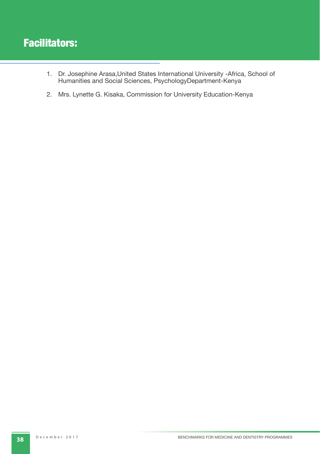# Facilitators:

- 1. Dr. Josephine Arasa,United States International University -Africa, School of Humanities and Social Sciences, PsychologyDepartment-Kenya
- 2. Mrs. Lynette G. Kisaka, Commission for University Education-Kenya